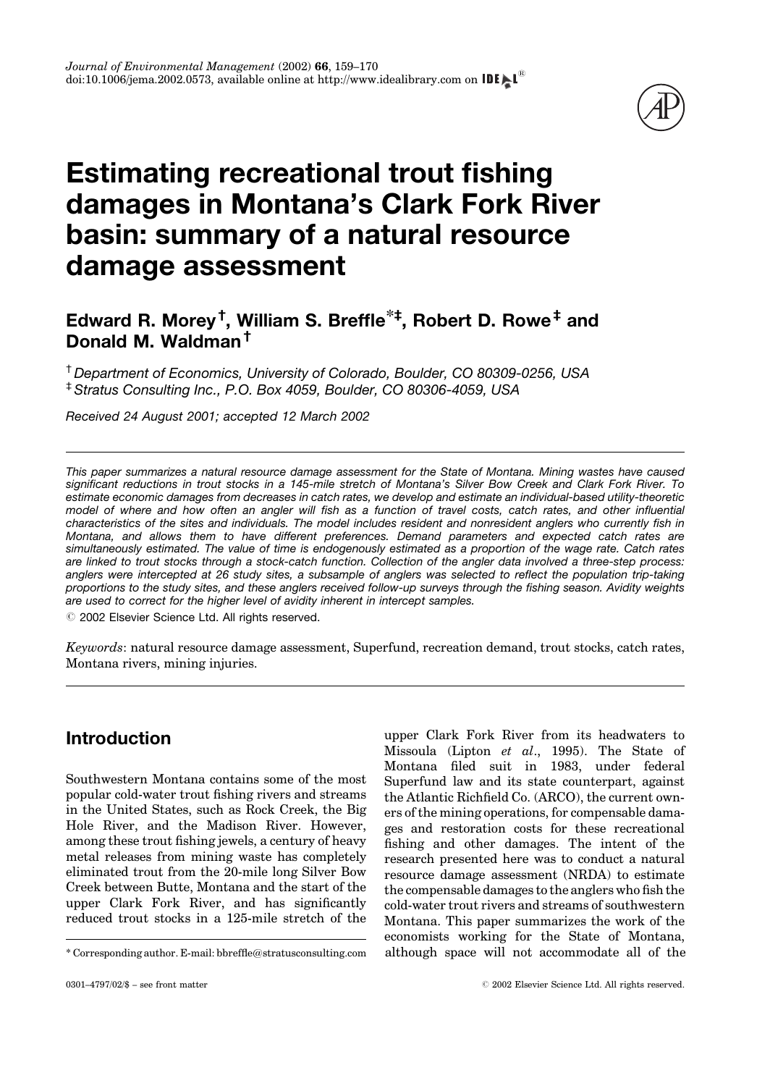

# **Estimating recreational trout fishing** damages in Montana's Clark Fork River basin: summary of a natural resource damage assessment

# Edward R. Morey<sup>†</sup>, William S. Breffle<sup>\*‡</sup>, Robert D. Rowe<sup>‡</sup> and Donald M. Waldman<sup>†</sup>

<sup>†</sup> Department of Economics, University of Colorado, Boulder, CO 80309-0256, USA <sup>‡</sup> Stratus Consulting Inc., P.O. Box 4059, Boulder, CO 80306-4059, USA

Received 24 August 2001; accepted 12 March 2002

This paper summarizes a natural resource damage assessment for the State of Montana. Mining wastes have caused significant reductions in trout stocks in a 145-mile stretch of Montana's Silver Bow Creek and Clark Fork River. To estimate economic damages from decreases in catch rates, we develop and estimate an individual-based utility-theoretic model of where and how often an angler will fish as a function of travel costs, catch rates, and other influential characteristics of the sites and individuals. The model includes resident and nonresident anglers who currently fish in Montana, and allows them to have different preferences. Demand parameters and expected catch rates are simultaneously estimated. The value of time is endogenously estimated as a proportion of the wage rate. Catch rates are linked to trout stocks through a stock-catch function. Collection of the angler data involved a three-step process: anglers were intercepted at 26 study sites, a subsample of anglers was selected to reflect the population trip-taking proportions to the study sites, and these anglers received follow-up surveys through the fishing season. Avidity weights are used to correct for the higher level of avidity inherent in intercept samples.

 $©$  2002 Elsevier Science Ltd. All rights reserved.

Keywords: natural resource damage assessment, Superfund, recreation demand, trout stocks, catch rates, Montana rivers, mining injuries.

# Introduction

Southwestern Montana contains some of the most popular cold-water trout fishing rivers and streams in the United States, such as Rock Creek, the Big Hole River, and the Madison River. However, among these trout fishing jewels, a century of heavy metal releases from mining waste has completely eliminated trout from the 20-mile long Silver Bow Creek between Butte, Montana and the start of the upper Clark Fork River, and has significantly reduced trout stocks in a 125-mile stretch of the

upper Clark Fork River from its headwaters to Missoula (Lipton et al[., 1995\)](#page-11-0). The State of Montana filed suit in 1983, under federal Superfund law and its state counterpart, against the Atlantic Richfield Co. (ARCO), the current owners of the mining operations, for compensable damages and restoration costs for these recreational fishing and other damages. The intent of the research presented here was to conduct a natural resource damage assessment (NRDA) to estimate the compensable damages to the anglers who fish the cold-water trout rivers and streams of southwestern Montana. This paper summarizes the work of the economists working for the State of Montana,  $*$  Corresponding author. E-mail: bbreffle@stratusconsulting.com although space will not accommodate all of the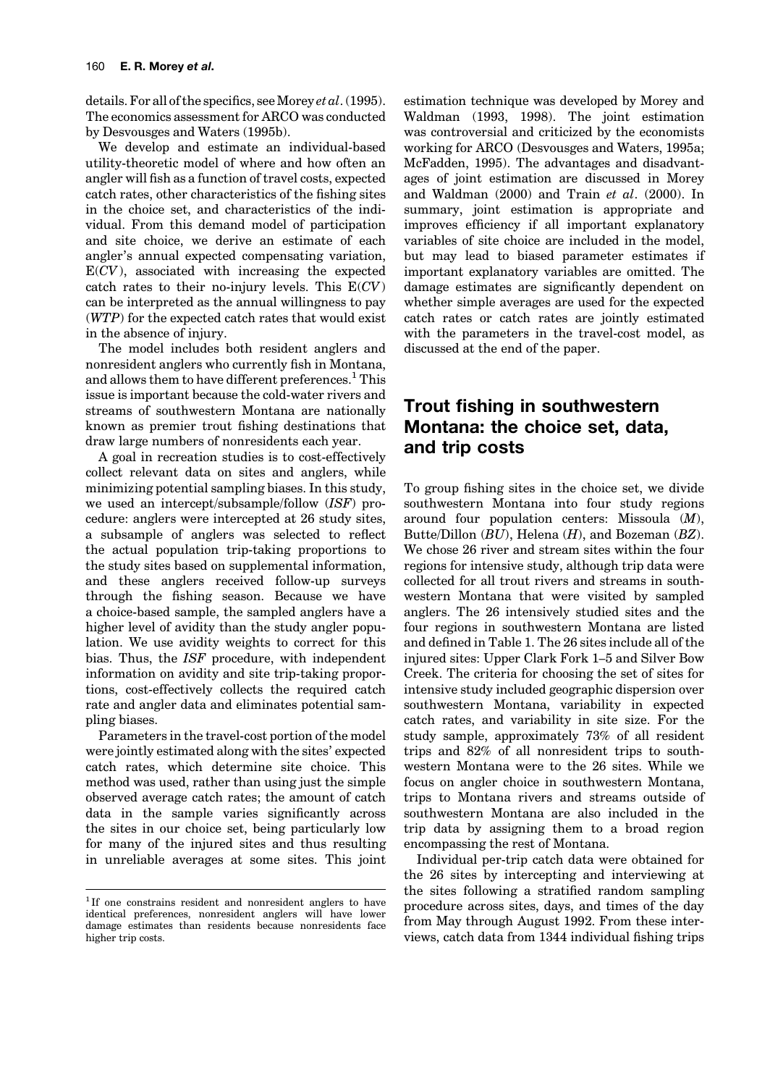details. For all of the specifics, see Morey et al. (1995). The economics assessment for ARCO was conducted by [Desvousges](#page-11-0) and Waters (1995b).

We develop and estimate an individual-based utility-theoretic model of where and how often an angler will fish as a function of travel costs, expected catch rates, other characteristics of the fishing sites in the choice set, and characteristics of the individual. From this demand model of participation and site choice, we derive an estimate of each angler's annual expected compensating variation,  $E(CV)$ , associated with increasing the expected catch rates to their no-injury levels. This  $E(CV)$ can be interpreted as the annual willingness to pay (WTP) for the expected catch rates that would exist in the absence of injury.

The model includes both resident anglers and nonresident anglers who currently fish in Montana, and allows them to have different preferences.<sup>1</sup> This issue is important because the cold-water rivers and streams of southwestern Montana are nationally known as premier trout fishing destinations that draw large numbers of nonresidents each year.

A goal in recreation studies is to cost-effectively collect relevant data on sites and anglers, while minimizing potential sampling biases. In this study, we used an intercept/subsample/follow (ISF) procedure: anglers were intercepted at 26 study sites, a subsample of anglers was selected to reflect the actual population trip-taking proportions to the study sites based on supplemental information, and these anglers received follow-up surveys through the fishing season. Because we have a choice-based sample, the sampled anglers have a higher level of avidity than the study angler population. We use avidity weights to correct for this bias. Thus, the ISF procedure, with independent information on avidity and site trip-taking proportions, cost-effectively collects the required catch rate and angler data and eliminates potential sampling biases.

Parameters in the travel-cost portion of the model were jointly estimated along with the sites' expected catch rates, which determine site choice. This method was used, rather than using just the simple observed average catch rates; the amount of catch data in the sample varies significantly across the sites in our choice set, being particularly low for many of the injured sites and thus resulting in unreliable averages at some sites. This joint estimation technique was developed by [Morey](#page-11-0) and [Waldman](#page-11-0) [\(1993](#page-11-0), [1998\)](#page-11-0). The joint estimation was controversial and criticized by the economists working for ARCO [\(Desvousges](#page-11-0) and Waters, 1995a; [McFadden,](#page-11-0) 1995). The advantages and disadvantages of joint estimation are discussed in [Morey](#page-11-0) and [Waldman](#page-11-0) (2000) and Train et al. [\(2000\).](#page-11-0) In summary, joint estimation is appropriate and improves efficiency if all important explanatory variables of site choice are included in the model, but may lead to biased parameter estimates if important explanatory variables are omitted. The damage estimates are significantly dependent on whether simple averages are used for the expected catch rates or catch rates are jointly estimated with the parameters in the travel-cost model, as discussed at the end of the paper.

# Trout fishing in southwestern Montana: the choice set, data, and trip costs

To group fishing sites in the choice set, we divide southwestern Montana into four study regions around four population centers: Missoula (M), Butte/Dillon  $(BU)$ , Helena  $(H)$ , and Bozeman  $(BZ)$ . We chose 26 river and stream sites within the four regions for intensive study, although trip data were collected for all trout rivers and streams in southwestern Montana that were visited by sampled anglers. The 26 intensively studied sites and the four regions in southwestern Montana are listed and defined in [Table](#page-2-0) 1. The 26 sites include all of the injured sites: Upper Clark Fork 1–5 and Silver Bow Creek. The criteria for choosing the set of sites for intensive study included geographic dispersion over southwestern Montana, variability in expected catch rates, and variability in site size. For the study sample, approximately 73% of all resident trips and 82% of all nonresident trips to southwestern Montana were to the 26 sites. While we focus on angler choice in southwestern Montana, trips to Montana rivers and streams outside of southwestern Montana are also included in the trip data by assigning them to a broad region encompassing the rest of Montana.

Individual per-trip catch data were obtained for the 26 sites by intercepting and interviewing at the sites following a stratified random sampling procedure across sites, days, and times of the day from May through August 1992. From these interviews, catch data from 1344 individual fishing trips

<sup>&</sup>lt;sup>1</sup>If one constrains resident and nonresident anglers to have identical preferences, nonresident anglers will have lower damage estimates than residents because nonresidents face higher trip costs.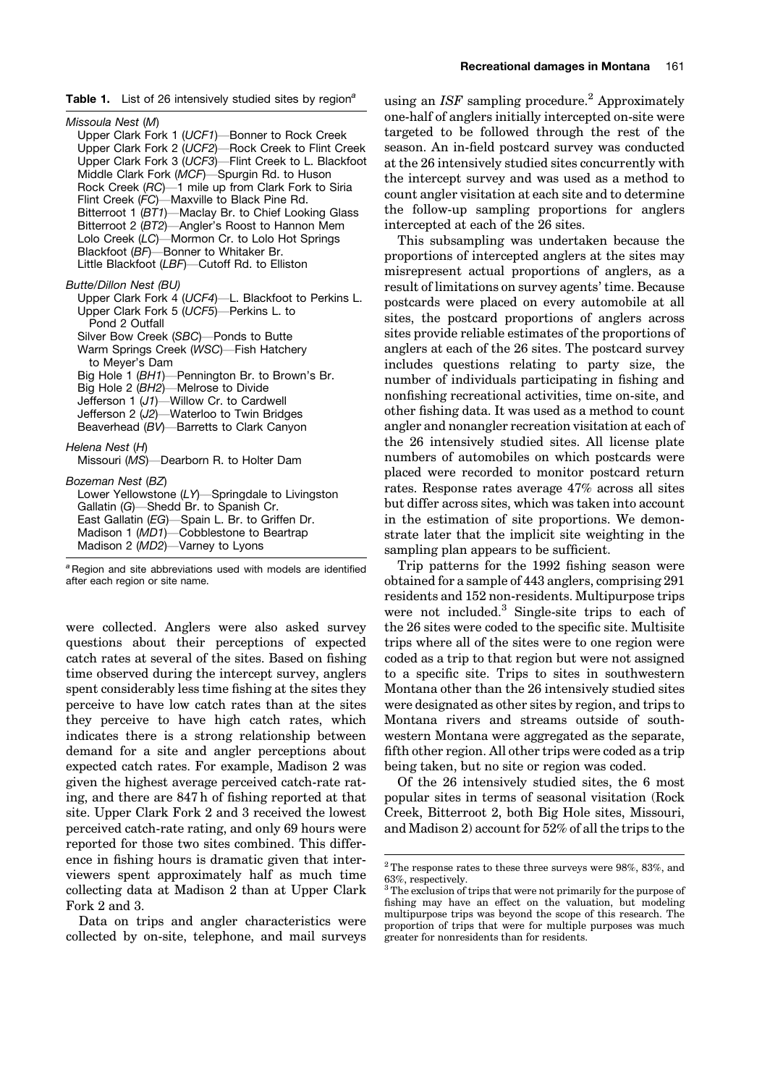<span id="page-2-0"></span>Table 1. List of 26 intensively studied sites by region<sup>a</sup>

| Missoula Nest (M)<br>Upper Clark Fork 1 (UCF1)-Bonner to Rock Creek<br>Upper Clark Fork 2 (UCF2)-Rock Creek to Flint Creek<br>Upper Clark Fork 3 (UCF3)-Flint Creek to L. Blackfoot<br>Middle Clark Fork (MCF)-Spurgin Rd. to Huson<br>Rock Creek (RC)-1 mile up from Clark Fork to Siria<br>Flint Creek (FC)-Maxville to Black Pine Rd.<br>Bitterroot 1 (BT1)-Maclay Br. to Chief Looking Glass<br>Bitterroot 2 (BT2)-Angler's Roost to Hannon Mem<br>Lolo Creek (LC)-Mormon Cr. to Lolo Hot Springs<br>Blackfoot (BF)-Bonner to Whitaker Br.<br>Little Blackfoot (LBF)-Cutoff Rd. to Elliston |
|-------------------------------------------------------------------------------------------------------------------------------------------------------------------------------------------------------------------------------------------------------------------------------------------------------------------------------------------------------------------------------------------------------------------------------------------------------------------------------------------------------------------------------------------------------------------------------------------------|
| Butte/Dillon Nest (BU)<br>Upper Clark Fork 4 (UCF4)-L. Blackfoot to Perkins L.<br>Upper Clark Fork 5 (UCF5)-Perkins L. to<br>Pond 2 Outfall<br>Silver Bow Creek (SBC)-Ponds to Butte<br>Warm Springs Creek (WSC)-Fish Hatchery<br>to Meyer's Dam<br>Big Hole 1 (BH1)-Pennington Br. to Brown's Br.<br>Big Hole 2 (BH2)-Melrose to Divide<br>Jefferson 1 (J1)-Willow Cr. to Cardwell<br>Jefferson 2 (J2)-Waterloo to Twin Bridges<br>Beaverhead (BV)-Barretts to Clark Canyon                                                                                                                    |
| Helena Nest (H)<br>Missouri (MS)-Dearborn R. to Holter Dam                                                                                                                                                                                                                                                                                                                                                                                                                                                                                                                                      |
| Bozeman Nest (BZ)<br>Lower Yellowstone (LY)-Springdale to Livingston<br>Gallatin (G)-Shedd Br. to Spanish Cr.<br>East Gallatin (EG)-Spain L. Br. to Griffen Dr.<br>Madison 1 (MD1)-Cobblestone to Beartrap<br>Madison 2 (MD2)-Varney to Lyons                                                                                                                                                                                                                                                                                                                                                   |

<sup>a</sup> Region and site abbreviations used with models are identified after each region or site name.

were collected. Anglers were also asked survey questions about their perceptions of expected catch rates at several of the sites. Based on fishing time observed during the intercept survey, anglers spent considerably less time fishing at the sites they perceive to have low catch rates than at the sites they perceive to have high catch rates, which indicates there is a strong relationship between demand for a site and angler perceptions about expected catch rates. For example, Madison 2 was given the highest average perceived catch-rate rating, and there are 847h of fishing reported at that site. Upper Clark Fork 2 and 3 received the lowest perceived catch-rate rating, and only 69 hours were reported for those two sites combined. This difference in fishing hours is dramatic given that interviewers spent approximately half as much time collecting data at Madison 2 than at Upper Clark Fork 2 and 3.

Data on trips and angler characteristics were collected by on-site, telephone, and mail surveys

using an  $ISF$  sampling procedure.<sup>2</sup> Approximately one-half of anglers initially intercepted on-site were targeted to be followed through the rest of the season. An in-field postcard survey was conducted at the 26 intensively studied sites concurrently with the intercept survey and was used as a method to count angler visitation at each site and to determine the follow-up sampling proportions for anglers intercepted at each of the 26 sites.

This subsampling was undertaken because the proportions of intercepted anglers at the sites may misrepresent actual proportions of anglers, as a result of limitations on survey agents' time. Because postcards were placed on every automobile at all sites, the postcard proportions of anglers across sites provide reliable estimates of the proportions of anglers at each of the 26 sites. The postcard survey includes questions relating to party size, the number of individuals participating in fishing and nonfishing recreational activities, time on-site, and other fishing data. It was used as a method to count angler and nonangler recreation visitation at each of the 26 intensively studied sites. All license plate numbers of automobiles on which postcards were placed were recorded to monitor postcard return rates. Response rates average 47% across all sites but differ across sites, which was taken into account in the estimation of site proportions. We demonstrate later that the implicit site weighting in the sampling plan appears to be sufficient.

Trip patterns for the 1992 fishing season were obtained for a sample of 443 anglers, comprising 291 residents and 152 non-residents. Multipurpose trips were not included.<sup>3</sup> Single-site trips to each of the 26 sites were coded to the specific site. Multisite trips where all of the sites were to one region were coded as a trip to that region but were not assigned to a specific site. Trips to sites in southwestern Montana other than the 26 intensively studied sites were designated as other sites by region, and trips to Montana rivers and streams outside of southwestern Montana were aggregated as the separate, fifth other region. All other trips were coded as a trip being taken, but no site or region was coded.

Of the 26 intensively studied sites, the 6 most popular sites in terms of seasonal visitation (Rock Creek, Bitterroot 2, both Big Hole sites, Missouri, and Madison 2) account for  $52\%$  of all the trips to the

<sup>&</sup>lt;sup>2</sup>The response rates to these three surveys were  $98\%$ ,  $83\%$ , and  $63\%$ , respectively.

 $3$ <sup>3</sup>The exclusion of trips that were not primarily for the purpose of fishing may have an effect on the valuation, but modeling multipurpose trips was beyond the scope of this research. The proportion of trips that were for multiple purposes was much greater for nonresidents than for residents.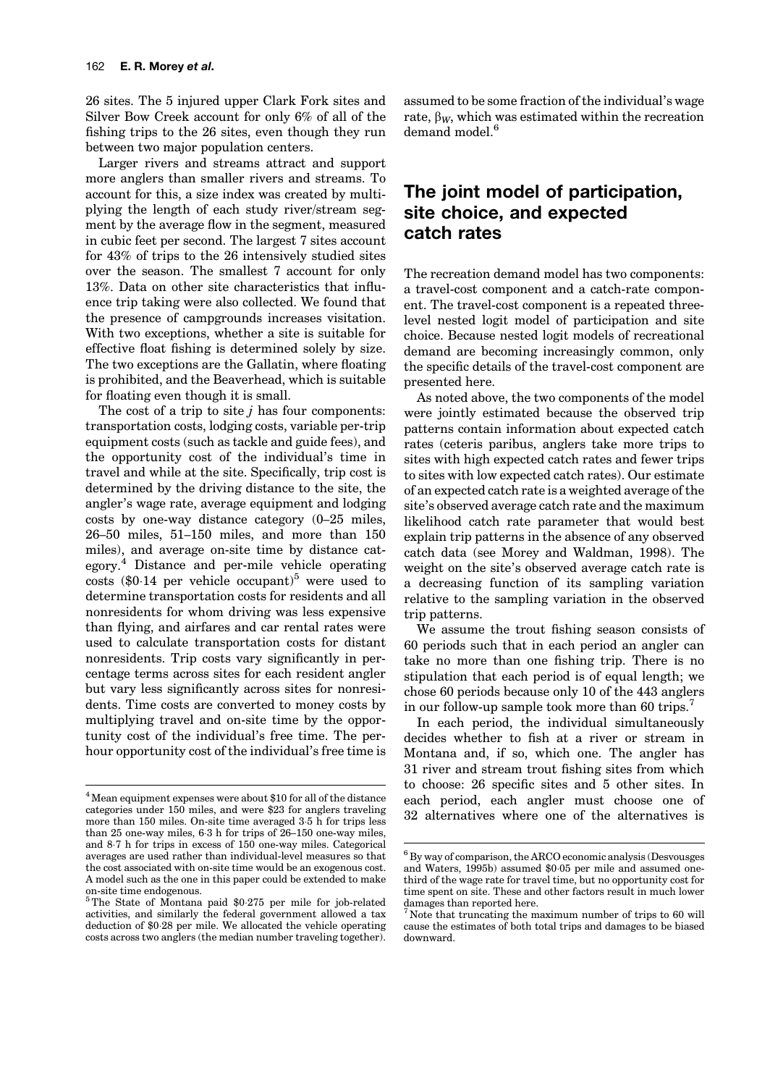26 sites. The 5 injured upper Clark Fork sites and Silver Bow Creek account for only 6% of all of the fishing trips to the 26 sites, even though they run between two major population centers.

Larger rivers and streams attract and support more anglers than smaller rivers and streams. To account for this, a size index was created by multiplying the length of each study river/stream segment by the average flow in the segment, measured in cubic feet per second. The largest 7 sites account for 43% of trips to the 26 intensively studied sites over the season. The smallest 7 account for only 13%. Data on other site characteristics that influence trip taking were also collected. We found that the presence of campgrounds increases visitation. With two exceptions, whether a site is suitable for effective float fishing is determined solely by size. The two exceptions are the Gallatin, where floating is prohibited, and the Beaverhead, which is suitable for floating even though it is small.

The cost of a trip to site  $j$  has four components: transportation costs, lodging costs, variable per-trip equipment costs (such as tackle and guide fees), and the opportunity cost of the individual's time in travel and while at the site. Specifically, trip cost is determined by the driving distance to the site, the angler's wage rate, average equipment and lodging costs by one-way distance category  $(0-25$  miles,  $26-50$  miles,  $51-150$  miles, and more than  $150$ miles), and average on-site time by distance category.<sup>4</sup> Distance and per-mile vehicle operating costs  $(\$0.14$  per vehicle occupant)<sup>5</sup> were used to determine transportation costs for residents and all nonresidents for whom driving was less expensive than flying, and airfares and car rental rates were used to calculate transportation costs for distant nonresidents. Trip costs vary significantly in percentage terms across sites for each resident angler but vary less significantly across sites for nonresidents. Time costs are converted to money costs by multiplying travel and on-site time by the opportunity cost of the individual's free time. The perhour opportunity cost of the individual's free time is

assumed to be some fraction of the individual's wage rate,  $\beta_W$ , which was estimated within the recreation demand model.<sup>6</sup>

## The joint model of participation, site choice, and expected catch rates

The recreation demand model has two components: a travel-cost component and a catch-rate component. The travel-cost component is a repeated threelevel nested logit model of participation and site choice. Because nested logit models of recreational demand are becoming increasingly common, only the specific details of the travel-cost component are presented here.

As noted above, the two components of the model were jointly estimated because the observed trip patterns contain information about expected catch rates (ceteris paribus, anglers take more trips to sites with high expected catch rates and fewer trips to sites with low expected catch rates). Our estimate of an expected catch rate is a weighted average of the site's observed average catch rate and the maximum likelihood catch rate parameter that would best explain trip patterns in the absence of any observed catch data (see Morey and [Waldman,](#page-11-0) 1998). The weight on the site's observed average catch rate is a decreasing function of its sampling variation relative to the sampling variation in the observed trip patterns.

We assume the trout fishing season consists of 60 periods such that in each period an angler can take no more than one fishing trip. There is no stipulation that each period is of equal length; we chose 60 periods because only 10 of the 443 anglers in our follow-up sample took more than 60 trips.<sup>7</sup>

In each period, the individual simultaneously decides whether to fish at a river or stream in Montana and, if so, which one. The angler has 31 river and stream trout fishing sites from which to choose: 26 specific sites and 5 other sites. In each period, each angler must choose one of 32 alternatives where one of the alternatives is

<sup>4</sup>Mean equipment expenses were about \$10 for all of the distance categories under 150 miles, and were \$23 for anglers traveling more than 150 miles. On-site time averaged 35 h for trips less than 25 one-way miles,  $6.3$  h for trips of  $26-150$  one-way miles, and 87 h for trips in excess of 150 one-way miles. Categorical averages are used rather than individual-level measures so that the cost associated with on-site time would be an exogenous cost. A model such as the one in this paper could be extended to make on-site time endogenous.  $5\,\mathrm{The\,\,State\,\,of\,\,Montana\,\,paid\,\,$0-275 per\,\,mile\,\,for\,\,job-related}$ 

activities, and similarly the federal government allowed a tax deduction of \$028 per mile. We allocated the vehicle operating costs across two anglers (the median number traveling together).

 $6By$  way of comparison, the ARCO economic analysis ([Desvousges](#page-11-0) and [Waters,](#page-11-0) 1995b) assumed \$005 per mile and assumed onethird of the wage rate for travel time, but no opportunity cost for time spent on site. These and other factors result in much lower damages than reported here.<br> $\frac{7}{1}$  Note that truncating the maximum number of trips to 60 will

cause the estimates of both total trips and damages to be biased downward.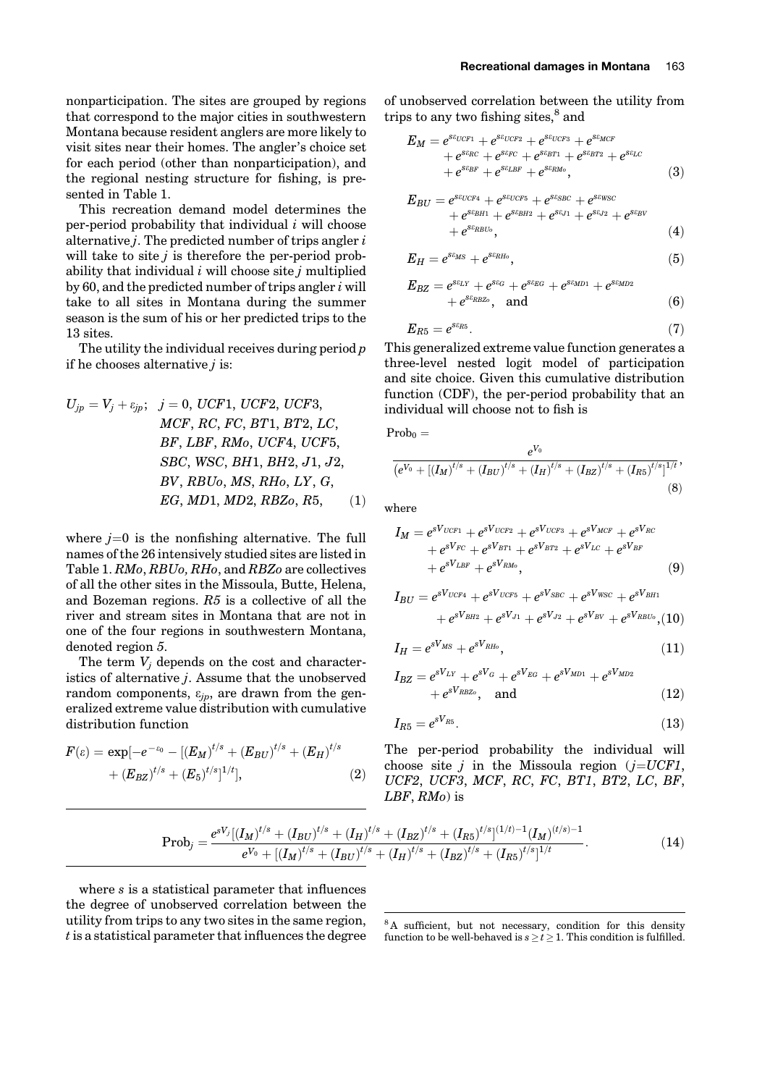nonparticipation. The sites are grouped by regions that correspond to the major cities in southwestern Montana because resident anglers are more likely to visit sites near their homes. The angler's choice set for each period (other than nonparticipation), and the regional nesting structure for fishing, is presented in [Table](#page-2-0) 1.

This recreation demand model determines the per-period probability that individual  $i$  will choose alternative  $j$ . The predicted number of trips angler  $i$ will take to site  $j$  is therefore the per-period probability that individual  $i$  will choose site  $j$  multiplied by 60, and the predicted number of trips angler  $i$  will take to all sites in Montana during the summer season is the sum of his or her predicted trips to the 13 sites.

The utility the individual receives during period  $p$ if he chooses alternative  $j$  is:

$$
U_{jp} = V_j + \varepsilon_{jp}; \quad j = 0, \ UCF1, \ UCF2, \ UCF3, \newline MCF, RC, FC, BT1, BT2, LC, \newline BF, LBF, RMo, \ UCF4, \ UCF5, \newline SBC, WSC, BH1, BH2, J1, J2, \newline BV, RBUo, MS, RHo, LY, G, \newline EG, MD1, MD2, RBZo, R5, \quad (1)
$$

where  $j=0$  is the nonfishing alternative. The full names of the 26 intensively studied sites are listed in [Table](#page-2-0) 1. RMo, RBUo, RHo, and RBZo are collectives of all the other sites in the Missoula, Butte, Helena, and Bozeman regions. R5 is a collective of all the river and stream sites in Montana that are not in one of the four regions in southwestern Montana, denoted region 5.

The term  $V_j$  depends on the cost and characteristics of alternative  $j$ . Assume that the unobserved random components,  $\varepsilon_{jp}$ , are drawn from the generalized extreme value distribution with cumulative distribution function

$$
F(\varepsilon) = \exp[-e^{-\varepsilon_0} - [(\mathbf{E}_M)^{t/s} + (\mathbf{E}_{BU})^{t/s} + (\mathbf{E}_H)^{t/s} + (\mathbf{E}_{BZ})^{t/s} + (\mathbf{E}_{BZ})^{t/s} + (\mathbf{E}_5)^{t/s}]^{1/t}],
$$
\n(2)

of unobserved correlation between the utility from trips to any two fishing sites, $^8$  and

$$
E_M = e^{s_{\text{EUCF1}}} + e^{s_{\text{EUCF2}}} + e^{s_{\text{EUCF3}}} + e^{s_{\text{EHCF}}} + e^{s_{\text{ERT1}}} + e^{s_{\text{EBT2}}} + e^{s_{\text{ELC}}} + e^{s_{\text{ERF}}} + e^{s_{\text{EBF1}}} + e^{s_{\text{EBT2}}} + e^{s_{\text{ELC}}} \tag{3}
$$

$$
E_{BU} = e^{s\varepsilon_{UCF4}} + e^{s\varepsilon_{UCF5}} + e^{s\varepsilon_{BBC}} + e^{s\varepsilon_{WSC}} + e^{s\varepsilon_{BH1}} + e^{s\varepsilon_{BH2}} + e^{s\varepsilon_{J1}} + e^{s\varepsilon_{J2}} + e^{s\varepsilon_{BV}} + e^{s\varepsilon_{RBU_o}},
$$
(4)

$$
E_H = e^{s \varepsilon_{MS}} + e^{s \varepsilon_{RHo}}, \qquad (5)
$$

$$
E_{BZ} = e^{s\epsilon_{LY}} + e^{s\epsilon_{G}} + e^{s\epsilon_{EG}} + e^{s\epsilon_{MD1}} + e^{s\epsilon_{MD2}} + e^{s\epsilon_{RBZo}}, \text{ and } (6)
$$

$$
E_{R5} = e^{s \varepsilon_{R5}}.\t\t(7)
$$

This generalized extreme value function generates a three-level nested logit model of participation and site choice. Given this cumulative distribution function (CDF), the per-period probability that an individual will choose not to fish is

 $Prob_0 =$ 

$$
\frac{(e^{V_0} + [(I_M)^{t/s} + (I_{BU})^{t/s} + (I_H)^{t/s} + (I_{BZ})^{t/s} + (I_{R5})^{t/s}]^{1/t}}{(8)}
$$

 $e^{V_0}$ 

where

$$
I_M = e^{sV_{UCF1}} + e^{sV_{UCF2}} + e^{sV_{UCF3}} + e^{sV_{MCF}} + e^{sV_{RC}} + e^{sV_{FC}} + e^{sV_{BT1}} + e^{sV_{BT2}} + e^{sV_{LC}} + e^{sV_{BF}} + e^{sV_{LBF}} + e^{sV_{RMo}},
$$
(9)

$$
I_{BU} = e^{sV_{UCF4}} + e^{sV_{UCF5}} + e^{sV_{SBC}} + e^{sV_{WSC}} + e^{sV_{BH1}} + e^{sV_{BH2}} + e^{sV_{BH2}} + e^{sV_{J1}} + e^{sV_{J2}} + e^{sV_{BV}} + e^{sV_{RBU_2}} (10)
$$

$$
I_H = e^{sV_{MS}} + e^{sV_{RHo}},\tag{11}
$$

$$
I_{BZ} = e^{sV_{LY}} + e^{sV_G} + e^{sV_{EG}} + e^{sV_{MD1}} + e^{sV_{MD2}} + e^{sV_{MD2}}, \quad \text{and} \tag{12}
$$

$$
I_{R5} = e^{sV_{R5}}.\t\t(13)
$$

The per-period probability the individual will choose site j in the Missoula region  $(j=UCF1,$ UCF2, UCF3, MCF, RC, FC, BT1, BT2, LC, BF,  $LBF, RMo$ ) is

$$
\text{Prob}_{j} = \frac{e^{sV_{j}}[(I_{M})^{t/s} + (I_{BU})^{t/s} + (I_{H})^{t/s} + (I_{BZ})^{t/s} + (I_{R5})^{t/s}]^{(1/t)-1}(I_{M})^{(t/s)-1}}{e^{V_{0}} + [(I_{M})^{t/s} + (I_{BU})^{t/s} + (I_{H})^{t/s} + (I_{BZ})^{t/s} + (I_{R5})^{t/s}]^{1/t}}.
$$
\n(14)

where  $s$  is a statistical parameter that influences the degree of unobserved correlation between the utility from trips to any two sites in the same region,  $t$  is a statistical parameter that influences the degree

<sup>&</sup>lt;sup>8</sup>A sufficient, but not necessary, condition for this density function to be well-behaved is  $s \ge t \ge 1$ . This condition is fulfilled.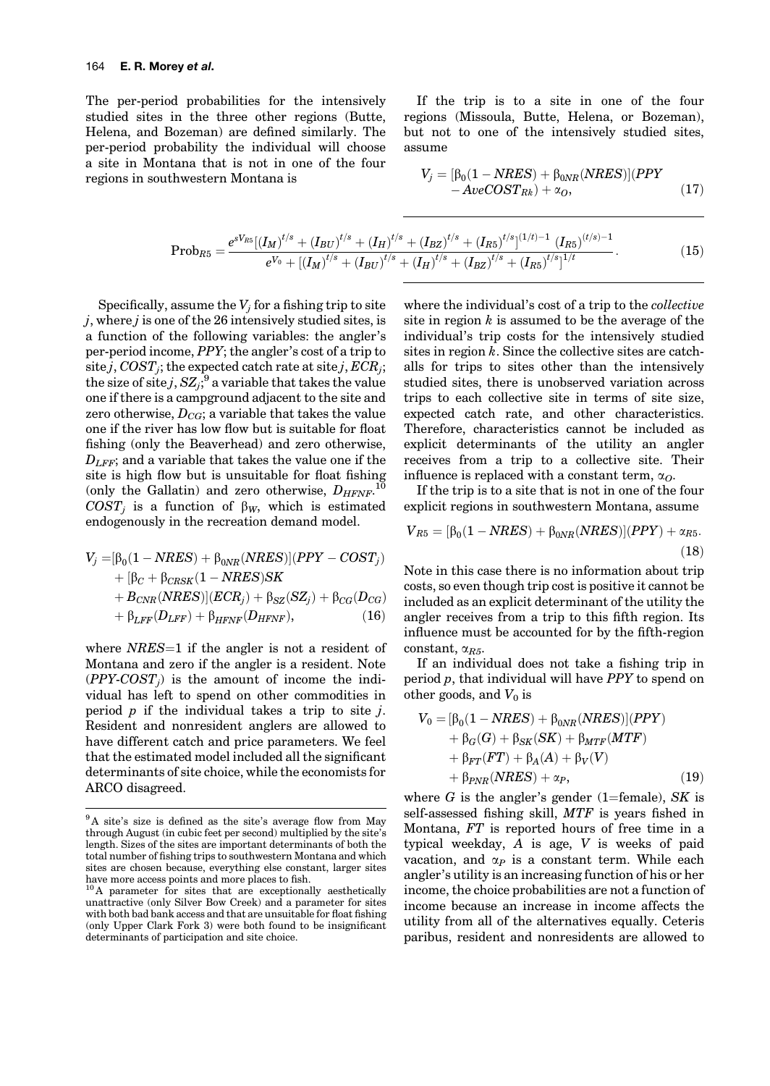The per-period probabilities for the intensively studied sites in the three other regions (Butte, Helena, and Bozeman) are defined similarly. The per-period probability the individual will choose a site in Montana that is not in one of the four regions in southwestern Montana is

If the trip is to a site in one of the four regions (Missoula, Butte, Helena, or Bozeman), but not to one of the intensively studied sites, assume

$$
V_j = [\beta_0 (1 - NRES) + \beta_{0NR} (NRES)] (PPY - AveCOST_{Rk}) + \alpha_O, \qquad (17)
$$

$$
\text{Prob}_{R5} = \frac{e^{sV_{R5}}[(I_M)^{t/s} + (I_{BU})^{t/s} + (I_H)^{t/s} + (I_{BZ})^{t/s} + (I_{R5})^{t/s}]^{(1/t)-1} (I_{R5})^{(t/s)-1}}{e^{V_0} + [(I_M)^{t/s} + (I_{BU})^{t/s} + (I_H)^{t/s} + (I_{BZ})^{t/s} + (I_{R5})^{t/s}]^{1/t}}.
$$
\n(15)

Specifically, assume the  $V_i$  for a fishing trip to site  $j$ , where  $j$  is one of the 26 intensively studied sites, is a function of the following variables: the angler's per-period income, PPY; the angler's cost of a trip to site j,  $COST_i$ ; the expected catch rate at site j,  $ECR_i$ ; the size of site j,  $SZ_j$ ,  $^9$  a variable that takes the value one if there is a campground adjacent to the site and zero otherwise,  $D_{CG}$ ; a variable that takes the value one if the river has low flow but is suitable for float fishing (only the Beaverhead) and zero otherwise,  $D_{LFF}$ ; and a variable that takes the value one if the site is high flow but is unsuitable for float fishing (only the Gallatin) and zero otherwise,  $D_{HFNF}$ , 10  $COST_i$  is a function of  $\beta_W$ , which is estimated endogenously in the recreation demand model.

$$
V_j = [\beta_0 (1 - NRES) + \beta_{0NR} (NRES)] (PPY - COST_j)
$$
  
+  $[\beta_C + \beta_{CRSK} (1 - NRES)SK$   
+  $B_{CNR} (NRES)] (ECR_j) + \beta_{SZ} (SZ_j) + \beta_{CG} (D_{CG})$   
+  $\beta_{LFF} (D_{LFF}) + \beta_{HFNF} (D_{HFNF}),$  (16)

where  $NRES=1$  if the angler is not a resident of Montana and zero if the angler is a resident. Note  $(PPY-COST<sub>i</sub>)$  is the amount of income the individual has left to spend on other commodities in period  $p$  if the individual takes a trip to site  $j$ . Resident and nonresident anglers are allowed to have different catch and price parameters. We feel that the estimated model included all the significant determinants of site choice, while the economists for ARCO disagreed.

where the individual's cost of a trip to the *collective* site in region  $k$  is assumed to be the average of the individual's trip costs for the intensively studied sites in region k. Since the collective sites are catchalls for trips to sites other than the intensively studied sites, there is unobserved variation across trips to each collective site in terms of site size, expected catch rate, and other characteristics. Therefore, characteristics cannot be included as explicit determinants of the utility an angler receives from a trip to a collective site. Their influence is replaced with a constant term,  $\alpha_O$ .

If the trip is to a site that is not in one of the four explicit regions in southwestern Montana, assume

$$
V_{R5} = [\beta_0 (1 - NRES) + \beta_{0NR} (NRES)] (PPY) + \alpha_{R5}.
$$
\n(18)

Note in this case there is no information about trip costs, so even though trip cost is positive it cannot be included as an explicit determinant of the utility the angler receives from a trip to this fifth region. Its influence must be accounted for by the fifth-region constant,  $\alpha_{RS}$ .

If an individual does not take a fishing trip in period p, that individual will have PPY to spend on other goods, and  $V_0$  is

$$
V_0 = [\beta_0 (1 - NRES) + \beta_{0NR} (NRES)] (PPY)
$$
  
+  $\beta_G(G) + \beta_{SK}(SK) + \beta_{MTF}(MTF)$   
+  $\beta_{FT}(FT) + \beta_A(A) + \beta_V(V)$   
+  $\beta_{PNR}(NRES) + \alpha_P,$  (19)

where G is the angler's gender (1=female), SK is self-assessed fishing skill,  $MTF$  is years fished in Montana, FT is reported hours of free time in a typical weekday, A is age, V is weeks of paid vacation, and  $\alpha_P$  is a constant term. While each angler's utility is an increasing function of his or her income, the choice probabilities are not a function of income because an increase in income affects the utility from all of the alternatives equally. Ceteris paribus, resident and nonresidents are allowed to

 $9A$  site's size is defined as the site's average flow from May through August (in cubic feet per second) multiplied by the site's length. Sizes of the sites are important determinants of both the total number of fishing trips to southwestern Montana and which sites are chosen because, everything else constant, larger sites

 $10$ A parameter for sites that are exceptionally aesthetically unattractive (only Silver Bow Creek) and a parameter for sites with both bad bank access and that are unsuitable for float fishing (only Upper Clark Fork 3) were both found to be insignificant determinants of participation and site choice.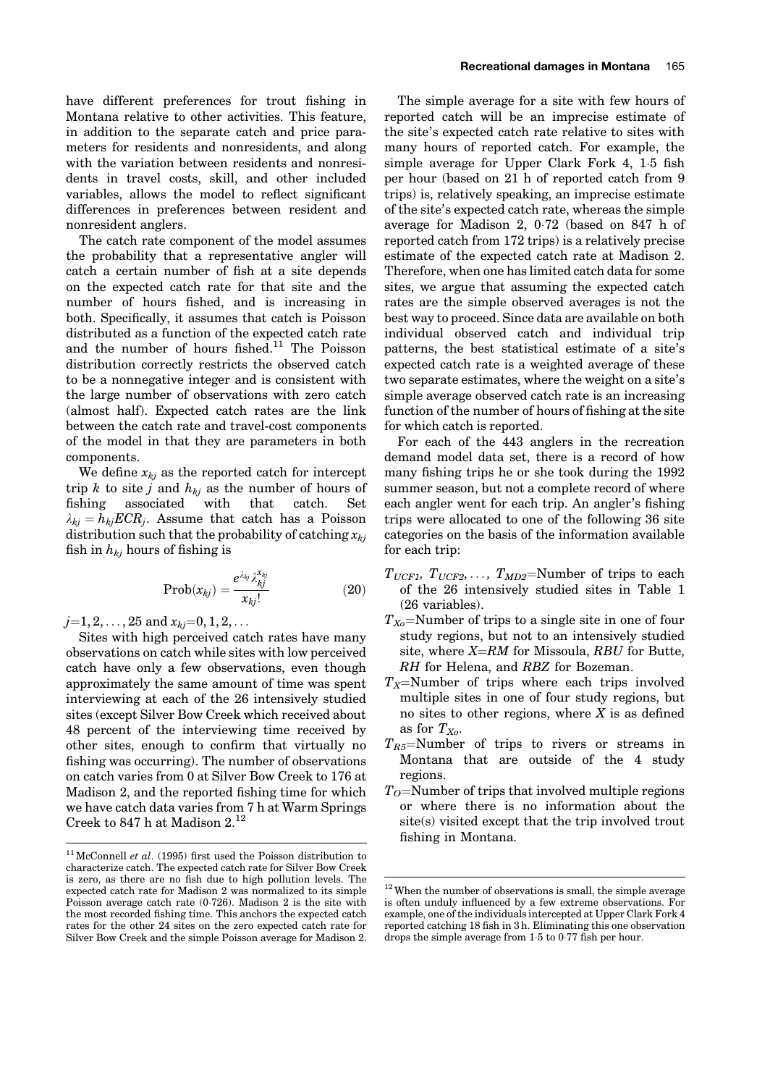have different preferences for trout fishing in Montana relative to other activities. This feature, in addition to the separate catch and price parameters for residents and nonresidents, and along with the variation between residents and nonresidents in travel costs, skill, and other included variables, allows the model to reflect significant differences in preferences between resident and nonresident anglers.

The catch rate component of the model assumes the probability that a representative angler will catch a certain number of fish at a site depends on the expected catch rate for that site and the number of hours fished, and is increasing in both. Specifically, it assumes that catch is Poisson distributed as a function of the expected catch rate and the number of hours fished.<sup>11</sup> The Poisson distribution correctly restricts the observed catch to be a nonnegative integer and is consistent with the large number of observations with zero catch (almost half). Expected catch rates are the link between the catch rate and travel-cost components of the model in that they are parameters in both components.

We define  $x_{ki}$  as the reported catch for intercept trip k to site j and  $h_{kj}$  as the number of hours of fishing associated with that catch. Set  $\lambda_{ki} = h_{ki}ECR_i$ . Assume that catch has a Poisson distribution such that the probability of catching  $x_{ki}$ fish in  $h_{ki}$  hours of fishing is

$$
Prob(x_{kj}) = \frac{e^{\lambda_{kj}} \lambda_{kj}^{x_{kj}}}{x_{kj}!}
$$
 (20)

 $j=1, 2, \ldots, 25$  and  $x_{kj}=0, 1, 2, \ldots$ 

Sites with high perceived catch rates have many observations on catch while sites with low perceived catch have only a few observations, even though approximately the same amount of time was spent interviewing at each of the 26 intensively studied sites (except Silver Bow Creek which received about 48 percent of the interviewing time received by other sites, enough to confirm that virtually no fishing was occurring). The number of observations on catch varies from 0 at Silver Bow Creek to 176 at Madison 2, and the reported fishing time for which we have catch data varies from 7 h at Warm Springs Creek to 847 h at Madison 2.<sup>12</sup>

The simple average for a site with few hours of reported catch will be an imprecise estimate of the site's expected catch rate relative to sites with many hours of reported catch. For example, the simple average for Upper Clark Fork  $4, 1.5$  fish per hour (based on 21 h of reported catch from 9 trips) is, relatively speaking, an imprecise estimate of the site's expected catch rate, whereas the simple average for Madison 2,  $0.72$  (based on 847 h of reported catch from 172 trips) is a relatively precise estimate of the expected catch rate at Madison 2. Therefore, when one has limited catch data for some sites, we argue that assuming the expected catch rates are the simple observed averages is not the best way to proceed. Since data are available on both individual observed catch and individual trip patterns, the best statistical estimate of a site's expected catch rate is a weighted average of these two separate estimates, where the weight on a site's simple average observed catch rate is an increasing function of the number of hours of fishing at the site for which catch is reported.

For each of the 443 anglers in the recreation demand model data set, there is a record of how many fishing trips he or she took during the 1992 summer season, but not a complete record of where each angler went for each trip. An angler's fishing trips were allocated to one of the following 36 site categories on the basis of the information available for each trip:

- $T_{UCF1}$ ,  $T_{UCF2}$ , ...,  $T_{MD2}$ =Number of trips to each of the 26 intensively studied sites in [Table](#page-2-0) 1 (26 variables).
- $T_{X_0}$ =Number of trips to a single site in one of four study regions, but not to an intensively studied site, where  $X=RM$  for Missoula,  $RBU$  for Butte, RH for Helena, and RBZ for Bozeman.
- $T_X$ =Number of trips where each trips involved multiple sites in one of four study regions, but no sites to other regions, where  $X$  is as defined as for  $T_{X_0}$ .
- $T_{R5}$ =Number of trips to rivers or streams in Montana that are outside of the 4 study regions.
- $T<sub>O</sub>=$ Number of trips that involved multiple regions or where there is no information about the site(s) visited except that the trip involved trout fishing in Montana.

 $^{11}\rm{McConnell}$  $^{11}\rm{McConnell}$  $^{11}\rm{McConnell}$   $et$   $al.$  (1995) first used the Poisson distribution to characterize catch. The expected catch rate for Silver Bow Creek is zero, as there are no fish due to high pollution levels. The expected catch rate for Madison 2 was normalized to its simple Poisson average catch rate (0.726). Madison 2 is the site with the most recorded fishing time. This anchors the expected catch rates for the other 24 sites on the zero expected catch rate for Silver Bow Creek and the simple Poisson average for Madison 2.

 $12$  When the number of observations is small, the simple average is often unduly influenced by a few extreme observations. For example, one of the individuals intercepted at Upper Clark Fork 4 reported catching 18 fish in 3 h. Eliminating this one observation drops the simple average from  $1.5$  to  $0.77$  fish per hour.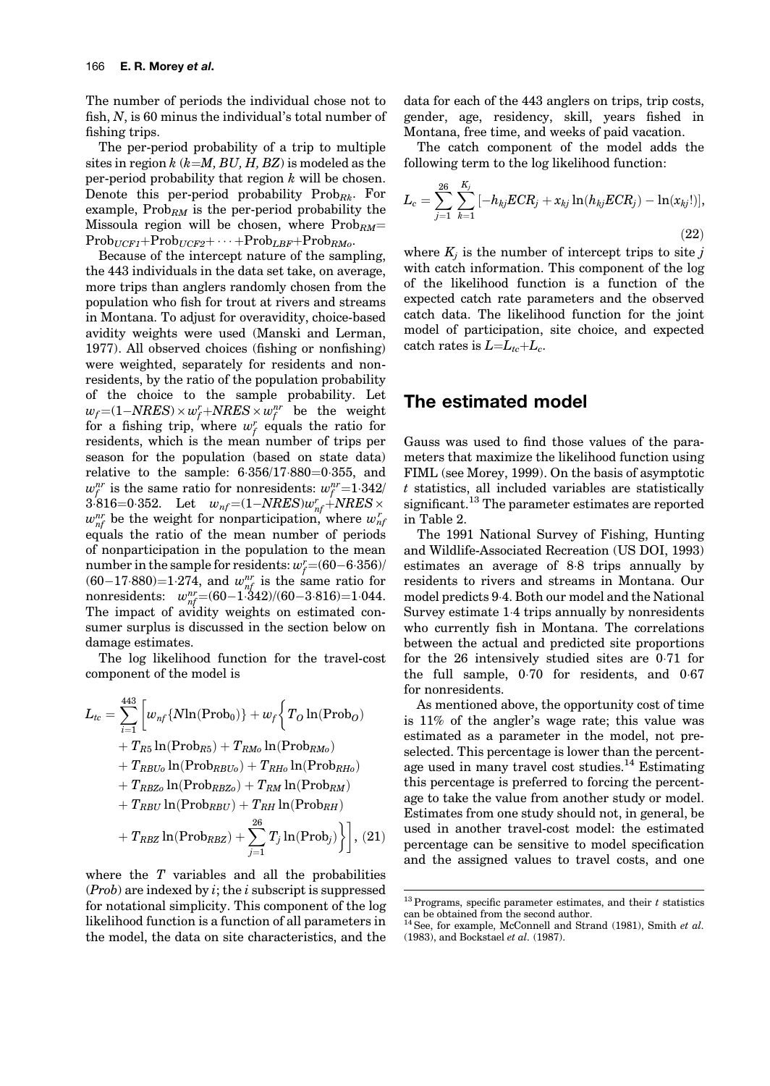The number of periods the individual chose not to fish,  $N$ , is 60 minus the individual's total number of fishing trips.

The per-period probability of a trip to multiple sites in region  $k$  ( $k=M$ ,  $BU$ ,  $H$ ,  $BZ$ ) is modeled as the per-period probability that region  $k$  will be chosen. Denote this per-period probability  $Prob_{Rk}$ . For example,  $Prob_{RM}$  is the per-period probability the Missoula region will be chosen, where  $Prob_{RM}$ =  $Prob_{UCF1}$ + $Prob_{UCF2}$ +  $\cdots$  + $Prob_{LBF}$ + $Prob_{RMo}$ .

Because of the intercept nature of the sampling, the 443 individuals in the data set take, on average, more trips than anglers randomly chosen from the population who fish for trout at rivers and streams in Montana. To adjust for overavidity, choice-based avidity weights were used (Manski and [Lerman,](#page-11-0) [1977\)](#page-11-0). All observed choices (fishing or nonfishing) were weighted, separately for residents and nonresidents, by the ratio of the population probability of the choice to the sample probability. Let  $w_f = (1 - NRES) \times w_f^r + NRES \times w_f^{nr}$  be the weight for a fishing trip, where  $w_f^r$  equals the ratio for residents, which is the mean number of trips per season for the population (based on state data) relative to the sample:  $6.356/17.880=0.355$ , and  $w_f^{nr}$  is the same ratio for nonresidents:  $w_f^{nr}$ =1.342/  $3.816 = 0.352$ . Let  $w_{nf} = (1 - NRES)w_{nf}^2 + NRES \times$  $w_{nf}^{nr}$  be the weight for nonparticipation, where  $w_{nf}^{r}$ equals the ratio of the mean number of periods of nonparticipation in the population to the mean number in the sample for residents:  $w_f^r{=}$  (60–6·356)/  $(60-17.880)=1.274$ , and  $w_{nf}^{nr}$  is the same ratio for  $\text{nonresidents:} \quad w_{\textit{nf}}^{\textit{nr}}{=}(\text{60}{-1}\!\cdot\!\text{342}){}/(\text{60}{-3}\!\cdot\!\text{816}){=}1{\cdot}044.$ The impact of avidity weights on estimated consumer surplus is discussed in the section below on damage estimates.

The log likelihood function for the travel-cost component of the model is

$$
L_{tc} = \sum_{i=1}^{443} \left[ w_{nf} \{ N \ln(\text{Prob}_0) \} + w_f \left\{ T_O \ln(\text{Prob}_O) \right. \right. \\ \left. + T_{RB} \ln(\text{Prob}_{RS}) + T_{RMo} \ln(\text{Prob}_{RMo}) \right. \\ \left. + T_{RBUo} \ln(\text{Prob}_{RBUo}) + T_{RHo} \ln(\text{Prob}_{RHo}) \right. \\ \left. + T_{RBZo} \ln(\text{Prob}_{RBZo}) + T_{RM} \ln(\text{Prob}_{RM}) \right. \\ \left. + T_{RBU} \ln(\text{Prob}_{RBU}) + T_{RH} \ln(\text{Prob}_{RH}) \right. \\ \left. + T_{RBZ} \ln(\text{Prob}_{RBZ}) + \sum_{j=1}^{26} T_j \ln(\text{Prob}_j) \right\} \right], (21)
$$

where the  $T$  variables and all the probabilities  $(Prob)$  are indexed by *i*; the *i* subscript is suppressed for notational simplicity. This component of the log likelihood function is a function of all parameters in the model, the data on site characteristics, and the data for each of the 443 anglers on trips, trip costs, gender, age, residency, skill, years fished in Montana, free time, and weeks of paid vacation.

The catch component of the model adds the following term to the log likelihood function:

$$
L_c = \sum_{j=1}^{26} \sum_{k=1}^{K_j} \left[ -h_{kj} E C R_j + x_{kj} \ln(h_{kj} E C R_j) - \ln(x_{kj}!) \right],
$$
\n(22)

where  $K_i$  is the number of intercept trips to site j with catch information. This component of the log of the likelihood function is a function of the expected catch rate parameters and the observed catch data. The likelihood function for the joint model of participation, site choice, and expected catch rates is  $L=L_{tc}+L_c$ .

#### The estimated model

Gauss was used to find those values of the parameters that maximize the likelihood function using FIML (see [Morey,](#page-11-0) 1999). On the basis of asymptotic t statistics, all included variables are statistically significant.<sup>13</sup> The parameter estimates are reported in [Table](#page-8-0) 2.

The 1991 National Survey of Fishing, Hunting and Wildlife-Associated Recreation (US [DOI,](#page-11-0) 1993) estimates an average of 8.8 trips annually by residents to rivers and streams in Montana. Our model predicts 9.4. Both our model and the National Survey estimate 14 trips annually by nonresidents who currently fish in Montana. The correlations between the actual and predicted site proportions for the 26 intensively studied sites are 071 for the full sample,  $0.70$  for residents, and  $0.67$ for nonresidents.

As mentioned above, the opportunity cost of time is 11% of the angler's wage rate; this value was estimated as a parameter in the model, not preselected. This percentage is lower than the percentage used in many travel cost studies.14 Estimating this percentage is preferred to forcing the percentage to take the value from another study or model. Estimates from one study should not, in general, be used in another travel-cost model: the estimated percentage can be sensitive to model specification and the assigned values to travel costs, and one

 $^{13}\mathrm{Programs},$  specific parameter estimates, and their  $t$  statistics can be obtained from the second author.  $14$  See, for example, [McConnell](#page-11-0) and Strand (1981), [Smith](#page-11-0) *et al.* 

[<sup>\(1983\),</sup>](#page-11-0) and [Bockstael](#page-11-0) et al. (1987).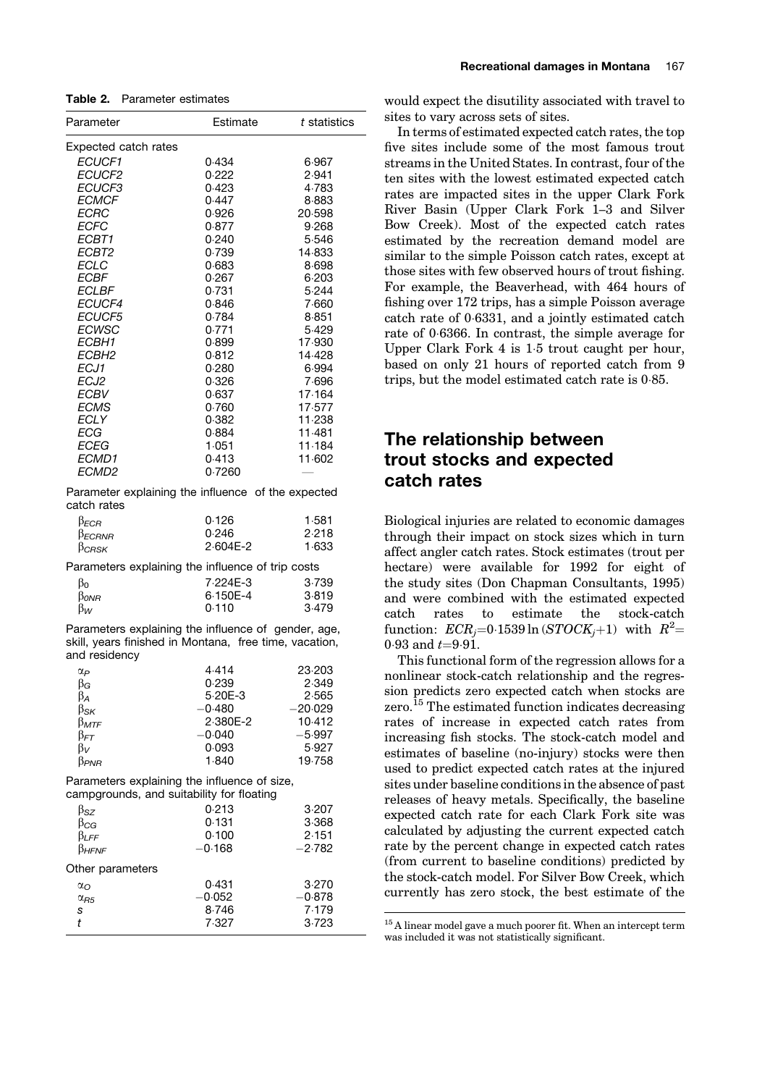<span id="page-8-0"></span>Table 2. Parameter estimates

| Parameter            | Estimate | t statistics |
|----------------------|----------|--------------|
| Expected catch rates |          |              |
| <b>ECUCF1</b>        | 0.434    | 6.967        |
| ECUCF2               | 0.222    | 2.941        |
| ECUCF3               | 0.423    | 4.783        |
| <b>ECMCF</b>         | 0.447    | 8.883        |
| ECRC                 | 0.926    | 20.598       |
| ECFC                 | 0.877    | 9.268        |
| ECBT1                | 0.240    | 5.546        |
| ECBT2                | 0.739    | 14.833       |
| ECLC                 | 0.683    | 8.698        |
| <b>ECBF</b>          | 0.267    | 6.203        |
| <b>ECLBF</b>         | 0.731    | 5.244        |
| ECUCF4               | 0.846    | 7.660        |
| ECUCF5               | 0.784    | 8.851        |
| ECWSC                | 0.771    | 5.429        |
| FCBH1                | 0.899    | 17.930       |
| ECBH2                | 0.812    | 14.428       |
| ECJ1                 | 0.280    | 6.994        |
| ECJ2                 | 0.326    | 7.696        |
| ECBV                 | 0.637    | 17.164       |
| ECMS                 | 0.760    | 17.577       |
| <b>ECLY</b>          | 0.382    | 11.238       |
| ECG                  | 0.884    | 11.481       |
| ECEG                 | 1.051    | 11.184       |
| ECMD1                | 0.413    | 11.602       |
| <i>FCMD2</i>         | 0.7260   |              |
|                      |          |              |

Parameter explaining the influence of the expected catch rates

| $\beta_{FCR}$   | 0.126    | 1.581 |
|-----------------|----------|-------|
| $\beta_{ECRNR}$ | 0.246    | 2.218 |
| $\beta$ CRSK    | 2.604E-2 | 1.633 |

Parameters explaining the influence of trip costs

| $\beta_0$     | 7.224E-3 | 3.739 |
|---------------|----------|-------|
| $\beta_{ONR}$ | 6.150E-4 | 3819  |
| $\beta_W$     | 0.110    | 3.479 |
|               |          |       |

Parameters explaining the influence of gender, age, skill, years finished in Montana, free time, vacation, and residency

| αp                    | 4.414     | 23.203    |
|-----------------------|-----------|-----------|
| $\beta_G$             | 0.239     | 2.349     |
| βA                    | $5.20E-3$ | 2.565     |
| $\beta$ sk            | $-0.480$  | $-20.029$ |
| $\beta_{MTF}$         | 2-380E-2  | 10.412    |
| $\beta_{\mathsf{FT}}$ | $-0.040$  | $-5.997$  |
| βv                    | 0.093     | 5.927     |
| <sup>5</sup> PNR      | 1.840     | 19.758    |

Parameters explaining the influence of size, and outshility for floating

|                  | campyrounus, and suitability for noating |          |
|------------------|------------------------------------------|----------|
| $\beta_{SZ}$     | 0.213                                    | 3.207    |
| $\beta_{CG}$     | 0.131                                    | 3.368    |
| $\beta_{LFF}$    | 0.100                                    | 2.151    |
| $\beta$ hfnf     | $-0.168$                                 | $-2.782$ |
| Other parameters |                                          |          |
| $\alpha_O$       | 0.431                                    | 3.270    |
| $\alpha_{RS}$    | $-0.052$                                 | $-0.878$ |
| s                | 8.746                                    | 7.179    |
| t                | 7.327                                    | 3.723    |
|                  |                                          |          |

would expect the disutility associated with travel to sites to vary across sets of sites.

In terms of estimated expected catch rates, the top five sites include some of the most famous trout streams in the United States. In contrast, four of the ten sites with the lowest estimated expected catch rates are impacted sites in the upper Clark Fork River Basin (Upper Clark Fork 1–3 and Silver Bow Creek). Most of the expected catch rates estimated by the recreation demand model are similar to the simple Poisson catch rates, except at those sites with few observed hours of trout fishing. For example, the Beaverhead, with 464 hours of fishing over 172 trips, has a simple Poisson average catch rate of 06331, and a jointly estimated catch rate of 06366. In contrast, the simple average for Upper Clark Fork 4 is  $1.5$  trout caught per hour, based on only 21 hours of reported catch from 9 trips, but the model estimated catch rate is  $0.85$ .

## The relationship between trout stocks and expected catch rates

Biological injuries are related to economic damages through their impact on stock sizes which in turn affect angler catch rates. Stock estimates (trout per hectare) were available for 1992 for eight of the study sites (Don Chapman Consultants, 1995) and were combined with the estimated expected catch rates to estimate the stock-catch function:  $\textit{ECR}_j=0.1539\ln{(STOCK_j+1)}$  with  $R^2=0.1539$  $0.93$  and  $t=9.91$ .

This functional form of the regression allows for a nonlinear stock-catch relationship and the regression predicts zero expected catch when stocks are zero.<sup>15</sup> The estimated function indicates decreasing rates of increase in expected catch rates from increasing fish stocks. The stock-catch model and estimates of baseline (no-injury) stocks were then used to predict expected catch rates at the injured sites under baseline conditions in the absence of past releases of heavy metals. Specifically, the baseline expected catch rate for each Clark Fork site was calculated by adjusting the current expected catch rate by the percent change in expected catch rates (from current to baseline conditions) predicted by the stock-catch model. For Silver Bow Creek, which currently has zero stock, the best estimate of the

 $^{15}\mathrm{A}$  linear model gave a much poorer fit. When an intercept term was included it was not statistically significant.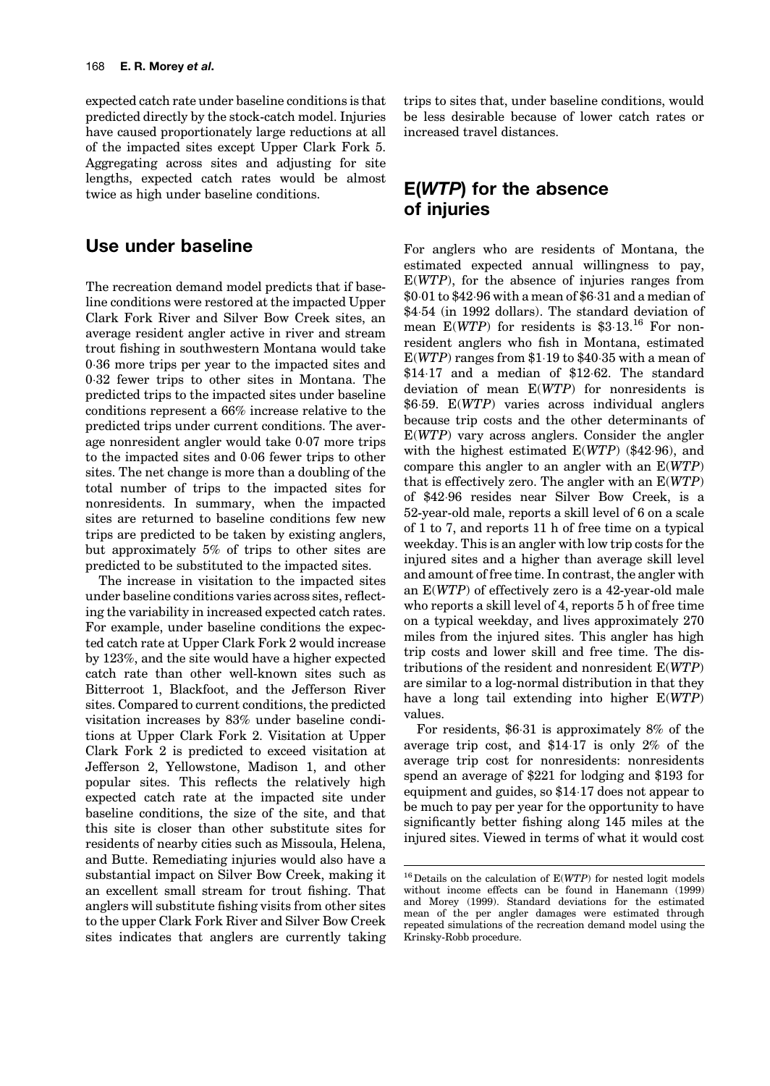expected catch rate under baseline conditions is that predicted directly by the stock-catch model. Injuries have caused proportionately large reductions at all of the impacted sites except Upper Clark Fork 5. Aggregating across sites and adjusting for site lengths, expected catch rates would be almost twice as high under baseline conditions.

#### Use under baseline

The recreation demand model predicts that if baseline conditions were restored at the impacted Upper Clark Fork River and Silver Bow Creek sites, an average resident angler active in river and stream trout fishing in southwestern Montana would take 036 more trips per year to the impacted sites and 032 fewer trips to other sites in Montana. The predicted trips to the impacted sites under baseline conditions represent a 66% increase relative to the predicted trips under current conditions. The average nonresident angler would take 0.07 more trips to the impacted sites and  $0.06$  fewer trips to other sites. The net change is more than a doubling of the total number of trips to the impacted sites for nonresidents. In summary, when the impacted sites are returned to baseline conditions few new trips are predicted to be taken by existing anglers, but approximately 5% of trips to other sites are predicted to be substituted to the impacted sites.

The increase in visitation to the impacted sites under baseline conditions varies across sites, reflecting the variability in increased expected catch rates. For example, under baseline conditions the expected catch rate at Upper Clark Fork 2 would increase by 123%, and the site would have a higher expected catch rate than other well-known sites such as Bitterroot 1, Blackfoot, and the Jefferson River sites. Compared to current conditions, the predicted visitation increases by 83% under baseline conditions at Upper Clark Fork 2. Visitation at Upper Clark Fork 2 is predicted to exceed visitation at Jefferson 2, Yellowstone, Madison 1, and other popular sites. This reflects the relatively high expected catch rate at the impacted site under baseline conditions, the size of the site, and that this site is closer than other substitute sites for residents of nearby cities such as Missoula, Helena, and Butte. Remediating injuries would also have a substantial impact on Silver Bow Creek, making it an excellent small stream for trout fishing. That anglers will substitute fishing visits from other sites to the upper Clark Fork River and Silver Bow Creek sites indicates that anglers are currently taking

trips to sites that, under baseline conditions, would be less desirable because of lower catch rates or increased travel distances.

## E(WTP) for the absence of injuries

For anglers who are residents of Montana, the estimated expected annual willingness to pay,  $E(WTP)$ , for the absence of injuries ranges from  $$0.01$  to  $$42.96$  with a mean of  $$6.31$  and a median of \$454 (in 1992 dollars). The standard deviation of mean  $E(WTP)$  for residents is \$3.13.<sup>16</sup> For nonresident anglers who fish in Montana, estimated  $E(WTP)$  ranges from \$1.19 to \$40.35 with a mean of \$1417 and a median of \$1262. The standard deviation of mean E(WTP) for nonresidents is \$659. E(WTP) varies across individual anglers because trip costs and the other determinants of E(WTP) vary across anglers. Consider the angler with the highest estimated  $E(WTP)$  (\$42.96), and compare this angler to an angler with an E(WTP) that is effectively zero. The angler with an  $E(WTP)$ of \$4296 resides near Silver Bow Creek, is a 52-year-old male, reports a skill level of 6 on a scale of 1 to 7, and reports 11 h of free time on a typical weekday. This is an angler with low trip costs for the injured sites and a higher than average skill level and amount of free time. In contrast, the angler with an E(WTP) of effectively zero is a 42-year-old male who reports a skill level of 4, reports 5 h of free time on a typical weekday, and lives approximately 270 miles from the injured sites. This angler has high trip costs and lower skill and free time. The distributions of the resident and nonresident E(WTP) are similar to a log-normal distribution in that they have a long tail extending into higher E(WTP) values.

For residents, \$631 is approximately 8% of the average trip cost, and \$1417 is only 2% of the average trip cost for nonresidents: nonresidents spend an average of \$221 for lodging and \$193 for equipment and guides, so \$1417 does not appear to be much to pay per year for the opportunity to have significantly better fishing along 145 miles at the injured sites. Viewed in terms of what it would cost

 $16$  Details on the calculation of E(WTP) for nested logit models without income effects can be found in [Hanemann](#page-11-0) (1999) and Morey [\(1999\).](#page-11-0) Standard deviations for the estimated mean of the per angler damages were estimated through repeated simulations of the recreation demand model using the Krinsky-Robb procedure.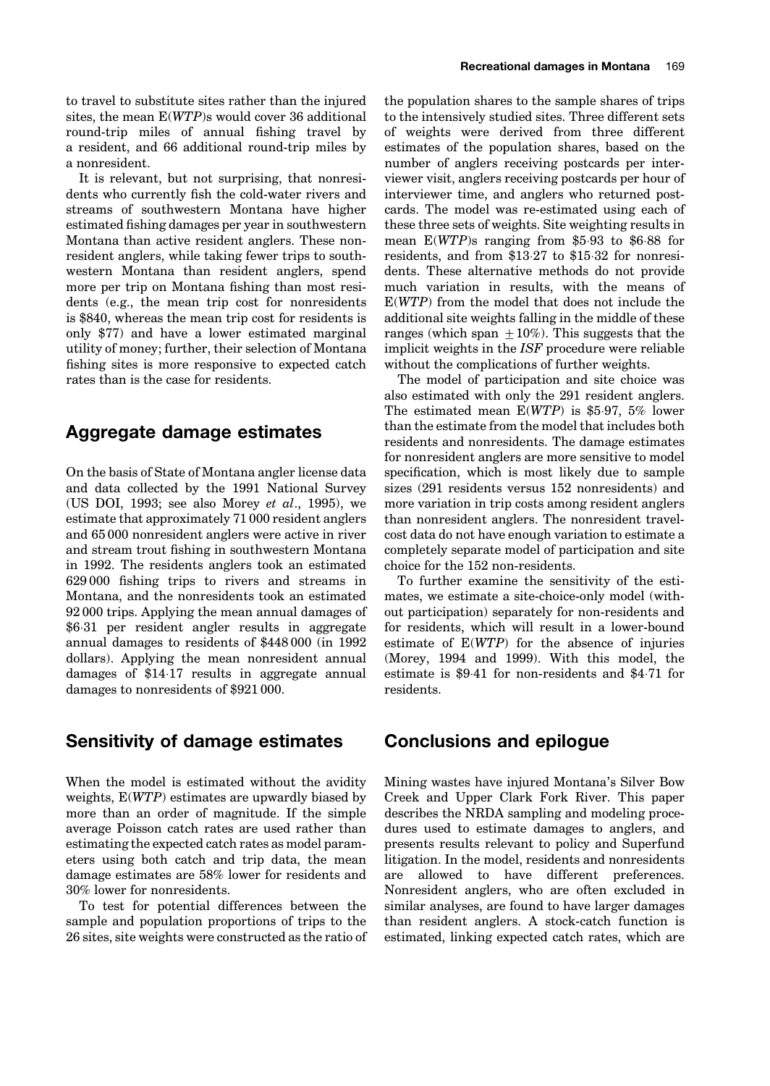to travel to substitute sites rather than the injured sites, the mean  $E(WTP)$ s would cover 36 additional round-trip miles of annual fishing travel by a resident, and 66 additional round-trip miles by a nonresident.

It is relevant, but not surprising, that nonresidents who currently fish the cold-water rivers and streams of southwestern Montana have higher estimated fishing damages per year in southwestern Montana than active resident anglers. These nonresident anglers, while taking fewer trips to southwestern Montana than resident anglers, spend more per trip on Montana fishing than most residents (e.g., the mean trip cost for nonresidents is \$840, whereas the mean trip cost for residents is only \$77) and have a lower estimated marginal utility of money; further, their selection of Montana fishing sites is more responsive to expected catch rates than is the case for residents.

#### Aggregate damage estimates

On the basis of State of Montana angler license data and data collected by the 1991 National Survey (US [DOI,](#page-11-0) 1993; see also [Morey](#page-11-0)  $et \ al., 1995$ ), we estimate that approximately 71 000 resident anglers and 65 000 nonresident anglers were active in river and stream trout fishing in southwestern Montana in 1992. The residents anglers took an estimated 629 000 fishing trips to rivers and streams in Montana, and the nonresidents took an estimated 92 000 trips. Applying the mean annual damages of \$631 per resident angler results in aggregate annual damages to residents of \$448 000 (in 1992 dollars). Applying the mean nonresident annual damages of \$1417 results in aggregate annual damages to nonresidents of \$921 000.

#### Sensitivity of damage estimates

When the model is estimated without the avidity weights, E(WTP) estimates are upwardly biased by more than an order of magnitude. If the simple average Poisson catch rates are used rather than estimating the expected catch rates as model parameters using both catch and trip data, the mean damage estimates are 58% lower for residents and 30% lower for nonresidents.

To test for potential differences between the sample and population proportions of trips to the 26 sites, site weights were constructed as the ratio of the population shares to the sample shares of trips to the intensively studied sites. Three different sets of weights were derived from three different estimates of the population shares, based on the number of anglers receiving postcards per interviewer visit, anglers receiving postcards per hour of interviewer time, and anglers who returned postcards. The model was re-estimated using each of these three sets of weights. Site weighting results in mean  $E(WTP)$ s ranging from \$5.93 to \$6.88 for residents, and from \$1327 to \$1532 for nonresidents. These alternative methods do not provide much variation in results, with the means of E(WTP) from the model that does not include the additional site weights falling in the middle of these ranges (which span  $+10\%$ ). This suggests that the implicit weights in the ISF procedure were reliable without the complications of further weights.

The model of participation and site choice was also estimated with only the 291 resident anglers. The estimated mean  $E(WTP)$  is \$5.97, 5% lower than the estimate from the model that includes both residents and nonresidents. The damage estimates for nonresident anglers are more sensitive to model specification, which is most likely due to sample sizes (291 residents versus 152 nonresidents) and more variation in trip costs among resident anglers than nonresident anglers. The nonresident travelcost data do not have enough variation to estimate a completely separate model of participation and site choice for the 152 non-residents.

To further examine the sensitivity of the estimates, we estimate a site-choice-only model (without participation) separately for non-residents and for residents, which will result in a lower-bound estimate of  $E(WTP)$  for the absence of injuries [\(Morey](#page-11-0), 1994 and [1999](#page-11-0)). With this model, the estimate is \$941 for non-residents and \$471 for residents.

#### Conclusions and epilogue

Mining wastes have injured Montana's Silver Bow Creek and Upper Clark Fork River. This paper describes the NRDA sampling and modeling procedures used to estimate damages to anglers, and presents results relevant to policy and Superfund litigation. In the model, residents and nonresidents are allowed to have different preferences. Nonresident anglers, who are often excluded in similar analyses, are found to have larger damages than resident anglers. A stock-catch function is estimated, linking expected catch rates, which are